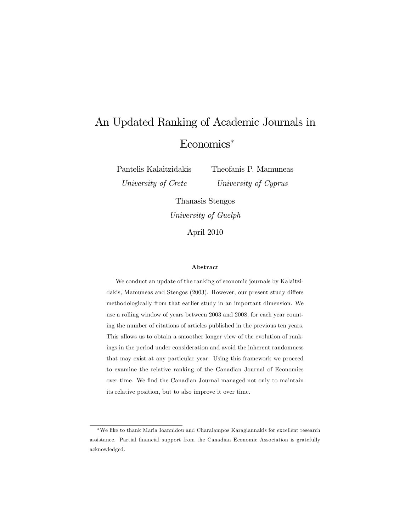# An Updated Ranking of Academic Journals in Economics<sup>∗</sup>

Pantelis Kalaitzidakis University of Crete

Theofanis P. Mamuneas University of Cyprus

Thanasis Stengos University of Guelph

April 2010

#### Abstract

We conduct an update of the ranking of economic journals by Kalaitzidakis, Mamuneas and Stengos (2003). However, our present study differs methodologically from that earlier study in an important dimension. We use a rolling window of years between 2003 and 2008, for each year counting the number of citations of articles published in the previous ten years. This allows us to obtain a smoother longer view of the evolution of rankings in the period under consideration and avoid the inherent randomness that may exist at any particular year. Using this framework we proceed to examine the relative ranking of the Canadian Journal of Economics over time. We find the Canadian Journal managed not only to maintain its relative position, but to also improve it over time.

<sup>∗</sup>We like to thank Maria Ioannidou and Charalampos Karagiannakis for excellent research assistance. Partial financial support from the Canadian Economic Association is gratefully acknowledged.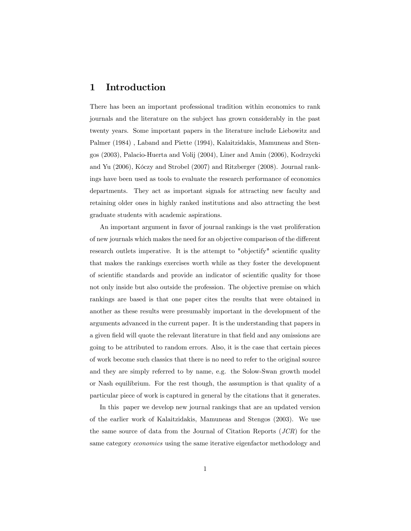### 1 Introduction

There has been an important professional tradition within economics to rank journals and the literature on the subject has grown considerably in the past twenty years. Some important papers in the literature include Liebowitz and Palmer (1984) , Laband and Piette (1994), Kalaitzidakis, Mamuneas and Stengos (2003), Palacio-Huerta and Volij (2004), Liner and Amin (2006), Kodrzycki and Yu (2006), Kóczy and Strobel (2007) and Ritzberger (2008). Journal rankings have been used as tools to evaluate the research performance of economics departments. They act as important signals for attracting new faculty and retaining older ones in highly ranked institutions and also attracting the best graduate students with academic aspirations.

An important argument in favor of journal rankings is the vast proliferation of new journals which makes the need for an objective comparison of the different research outlets imperative. It is the attempt to "objectify" scientific quality that makes the rankings exercises worth while as they foster the development of scientific standards and provide an indicator of scientific quality for those not only inside but also outside the profession. The objective premise on which rankings are based is that one paper cites the results that were obtained in another as these results were presumably important in the development of the arguments advanced in the current paper. It is the understanding that papers in a given field will quote the relevant literature in that field and any omissions are going to be attributed to random errors. Also, it is the case that certain pieces of work become such classics that there is no need to refer to the original source and they are simply referred to by name, e.g. the Solow-Swan growth model or Nash equilibrium. For the rest though, the assumption is that quality of a particular piece of work is captured in general by the citations that it generates.

In this paper we develop new journal rankings that are an updated version of the earlier work of Kalaitzidakis, Mamuneas and Stengos (2003). We use the same source of data from the Journal of Citation Reports (JCR) for the same category economics using the same iterative eigenfactor methodology and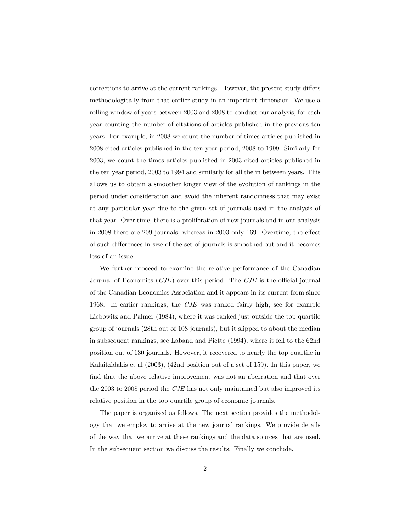corrections to arrive at the current rankings. However, the present study differs methodologically from that earlier study in an important dimension. We use a rolling window of years between 2003 and 2008 to conduct our analysis, for each year counting the number of citations of articles published in the previous ten years. For example, in 2008 we count the number of times articles published in 2008 cited articles published in the ten year period, 2008 to 1999. Similarly for 2003, we count the times articles published in 2003 cited articles published in the ten year period, 2003 to 1994 and similarly for all the in between years. This allows us to obtain a smoother longer view of the evolution of rankings in the period under consideration and avoid the inherent randomness that may exist at any particular year due to the given set of journals used in the analysis of that year. Over time, there is a proliferation of new journals and in our analysis in 2008 there are 209 journals, whereas in 2003 only 169. Overtime, the effect of such differences in size of the set of journals is smoothed out and it becomes less of an issue.

We further proceed to examine the relative performance of the Canadian Journal of Economics  $(CJE)$  over this period. The  $CJE$  is the official journal of the Canadian Economics Association and it appears in its current form since 1968. In earlier rankings, the CJE was ranked fairly high, see for example Liebowitz and Palmer (1984), where it was ranked just outside the top quartile group of journals (28th out of 108 journals), but it slipped to about the median in subsequent rankings, see Laband and Piette (1994), where it fell to the 62nd position out of 130 journals. However, it recovered to nearly the top quartile in Kalaitzidakis et al (2003), (42nd position out of a set of 159). In this paper, we find that the above relative improvement was not an aberration and that over the 2003 to 2008 period the CJE has not only maintained but also improved its relative position in the top quartile group of economic journals.

The paper is organized as follows. The next section provides the methodology that we employ to arrive at the new journal rankings. We provide details of the way that we arrive at these rankings and the data sources that are used. In the subsequent section we discuss the results. Finally we conclude.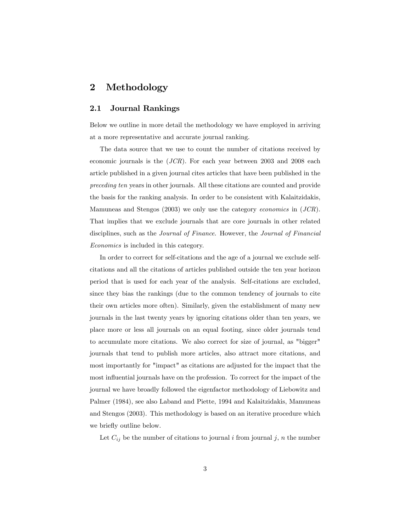## 2 Methodology

#### 2.1 Journal Rankings

Below we outline in more detail the methodology we have employed in arriving at a more representative and accurate journal ranking.

The data source that we use to count the number of citations received by economic journals is the (JCR). For each year between 2003 and 2008 each article published in a given journal cites articles that have been published in the preceding ten years in other journals. All these citations are counted and provide the basis for the ranking analysis. In order to be consistent with Kalaitzidakis, Mamuneas and Stengos (2003) we only use the category economics in (JCR). That implies that we exclude journals that are core journals in other related disciplines, such as the Journal of Finance. However, the Journal of Financial Economics is included in this category.

In order to correct for self-citations and the age of a journal we exclude selfcitations and all the citations of articles published outside the ten year horizon period that is used for each year of the analysis. Self-citations are excluded, since they bias the rankings (due to the common tendency of journals to cite their own articles more often). Similarly, given the establishment of many new journals in the last twenty years by ignoring citations older than ten years, we place more or less all journals on an equal footing, since older journals tend to accumulate more citations. We also correct for size of journal, as "bigger" journals that tend to publish more articles, also attract more citations, and most importantly for "impact" as citations are adjusted for the impact that the most influential journals have on the profession. To correct for the impact of the journal we have broadly followed the eigenfactor methodology of Liebowitz and Palmer (1984), see also Laband and Piette, 1994 and Kalaitzidakis, Mamuneas and Stengos (2003). This methodology is based on an iterative procedure which we briefly outline below.

Let  $C_{ij}$  be the number of citations to journal i from journal j, n the number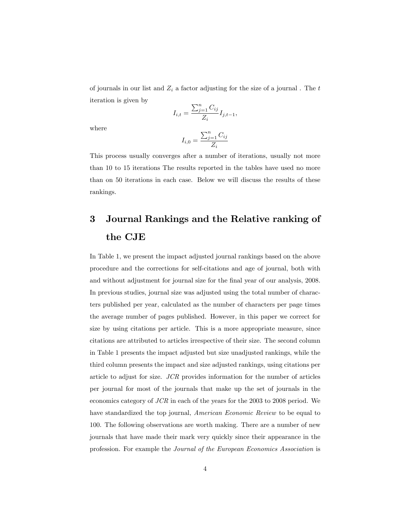of journals in our list and  $Z_i$  a factor adjusting for the size of a journal. The t iteration is given by

$$
I_{i,t} = \frac{\sum_{j=1}^{n} C_{ij}}{Z_i} I_{j,t-1},
$$

where

$$
I_{i,0} = \frac{\sum_{j=1}^n C_{ij}}{Z_i}
$$

This process usually converges after a number of iterations, usually not more than 10 to 15 iterations The results reported in the tables have used no more than on 50 iterations in each case. Below we will discuss the results of these rankings.

## 3 Journal Rankings and the Relative ranking of the CJE

In Table 1, we present the impact adjusted journal rankings based on the above procedure and the corrections for self-citations and age of journal, both with and without adjustment for journal size for the final year of our analysis, 2008. In previous studies, journal size was adjusted using the total number of characters published per year, calculated as the number of characters per page times the average number of pages published. However, in this paper we correct for size by using citations per article. This is a more appropriate measure, since citations are attributed to articles irrespective of their size. The second column in Table 1 presents the impact adjusted but size unadjusted rankings, while the third column presents the impact and size adjusted rankings, using citations per article to adjust for size. JCR provides information for the number of articles per journal for most of the journals that make up the set of journals in the economics category of JCR in each of the years for the 2003 to 2008 period. We have standardized the top journal, American Economic Review to be equal to 100. The following observations are worth making. There are a number of new journals that have made their mark very quickly since their appearance in the profession. For example the Journal of the European Economics Association is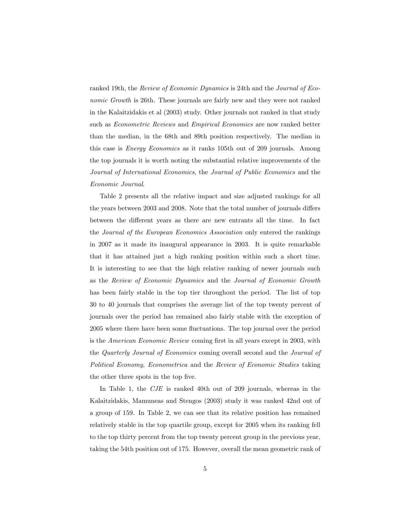ranked 19th, the Review of Economic Dynamics is 24th and the Journal of Economic Growth is 26th. These journals are fairly new and they were not ranked in the Kalaitzidakis et al (2003) study. Other journals not ranked in that study such as Econometric Reviews and Empirical Economics are now ranked better than the median, in the 68th and 89th position respectively. The median in this case is Energy Economics as it ranks 105th out of 209 journals. Among the top journals it is worth noting the substantial relative improvements of the Journal of International Economics, the Journal of Public Economics and the Economic Journal.

Table 2 presents all the relative impact and size adjusted rankings for all the years between 2003 and 2008. Note that the total number of journals differs between the different years as there are new entrants all the time. In fact the Journal of the European Economics Association only entered the rankings in 2007 as it made its inaugural appearance in 2003. It is quite remarkable that it has attained just a high ranking position within such a short time. It is interesting to see that the high relative ranking of newer journals such as the Review of Economic Dynamics and the Journal of Economic Growth has been fairly stable in the top tier throughout the period. The list of top 30 to 40 journals that comprises the average list of the top twenty percent of journals over the period has remained also fairly stable with the exception of 2005 where there have been some fluctuations. The top journal over the period is the *American Economic Review* coming first in all years except in 2003, with the Quarterly Journal of Economics coming overall second and the Journal of Political Economy, Econometrica and the Review of Economic Studies taking the other three spots in the top five.

In Table 1, the CJE is ranked 40th out of 209 journals, whereas in the Kalaitzidakis, Mamuneas and Stengos (2003) study it was ranked 42nd out of a group of 159. In Table 2, we can see that its relative position has remained relatively stable in the top quartile group, except for 2005 when its ranking fell to the top thirty percent from the top twenty percent group in the previous year, taking the 54th position out of 175. However, overall the mean geometric rank of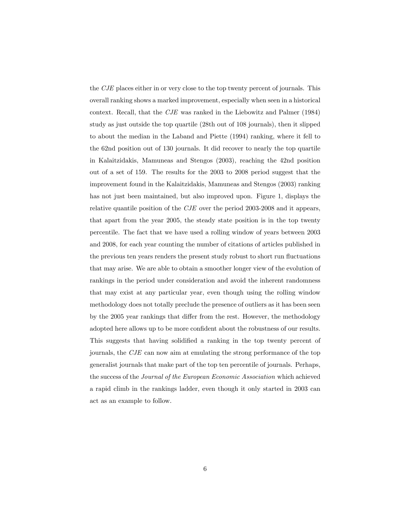the CJE places either in or very close to the top twenty percent of journals. This overall ranking shows a marked improvement, especially when seen in a historical context. Recall, that the CJE was ranked in the Liebowitz and Palmer (1984) study as just outside the top quartile (28th out of 108 journals), then it slipped to about the median in the Laband and Piette (1994) ranking, where it fell to the 62nd position out of 130 journals. It did recover to nearly the top quartile in Kalaitzidakis, Mamuneas and Stengos (2003), reaching the 42nd position out of a set of 159. The results for the 2003 to 2008 period suggest that the improvement found in the Kalaitzidakis, Mamuneas and Stengos (2003) ranking has not just been maintained, but also improved upon. Figure 1, displays the relative quantile position of the CJE over the period 2003-2008 and it appears, that apart from the year 2005, the steady state position is in the top twenty percentile. The fact that we have used a rolling window of years between 2003 and 2008, for each year counting the number of citations of articles published in the previous ten years renders the present study robust to short run fluctuations that may arise. We are able to obtain a smoother longer view of the evolution of rankings in the period under consideration and avoid the inherent randomness that may exist at any particular year, even though using the rolling window methodology does not totally preclude the presence of outliers as it has been seen by the 2005 year rankings that differ from the rest. However, the methodology adopted here allows up to be more confident about the robustness of our results. This suggests that having solidified a ranking in the top twenty percent of journals, the CJE can now aim at emulating the strong performance of the top generalist journals that make part of the top ten percentile of journals. Perhaps, the success of the Journal of the European Economic Association which achieved a rapid climb in the rankings ladder, even though it only started in 2003 can act as an example to follow.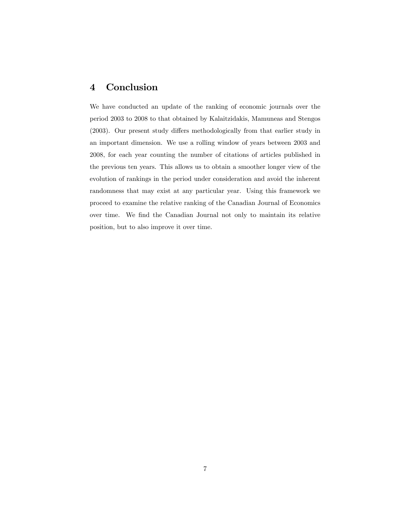## 4 Conclusion

We have conducted an update of the ranking of economic journals over the period 2003 to 2008 to that obtained by Kalaitzidakis, Mamuneas and Stengos (2003). Our present study differs methodologically from that earlier study in an important dimension. We use a rolling window of years between 2003 and 2008, for each year counting the number of citations of articles published in the previous ten years. This allows us to obtain a smoother longer view of the evolution of rankings in the period under consideration and avoid the inherent randomness that may exist at any particular year. Using this framework we proceed to examine the relative ranking of the Canadian Journal of Economics over time. We find the Canadian Journal not only to maintain its relative position, but to also improve it over time.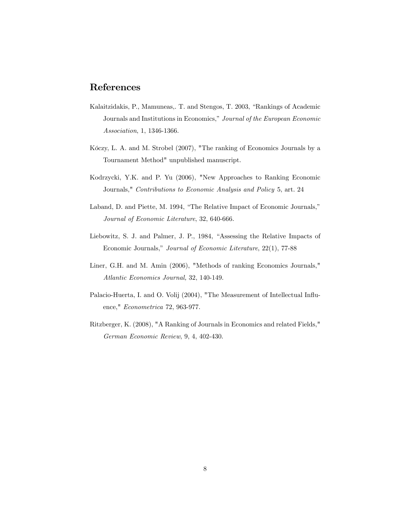## References

- Kalaitzidakis, P., Mamuneas,. T. and Stengos, T. 2003, "Rankings of Academic Journals and Institutions in Economics," Journal of the European Economic Association, 1, 1346-1366.
- Kóczy, L. A. and M. Strobel (2007), "The ranking of Economics Journals by a Tournament Method" unpublished manuscript.
- Kodrzycki, Y.K. and P. Yu (2006), "New Approaches to Ranking Economic Journals," Contributions to Economic Analysis and Policy 5, art. 24
- Laband, D. and Piette, M. 1994, "The Relative Impact of Economic Journals," Journal of Economic Literature, 32, 640-666.
- Liebowitz, S. J. and Palmer, J. P., 1984, "Assessing the Relative Impacts of Economic Journals," Journal of Economic Literature, 22(1), 77-88
- Liner, G.H. and M. Amin (2006), "Methods of ranking Economics Journals," Atlantic Economics Journal, 32, 140-149.
- Palacio-Huerta, I. and O. Volij (2004), "The Measurement of Intellectual Influence," Econometrica 72, 963-977.
- Ritzberger, K. (2008), "A Ranking of Journals in Economics and related Fields," German Economic Review, 9, 4, 402-430.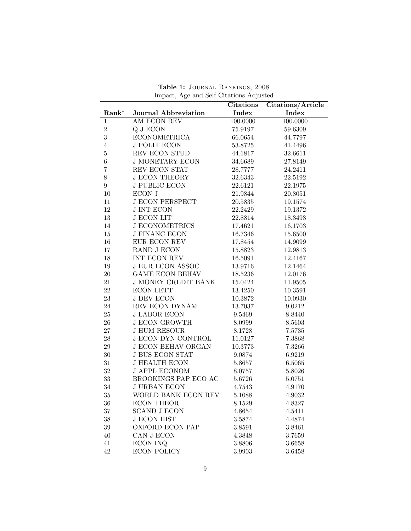|                  |                             | <b>Citations</b> | Citations/Article |  |  |
|------------------|-----------------------------|------------------|-------------------|--|--|
| $Rank^*$         | <b>Journal Abbreviation</b> | Index            | Index             |  |  |
| $\mathbf{1}$     | AM ECON REV                 | 100.0000         | 100.0000          |  |  |
| $\sqrt{2}$       | Q J ECON                    | 75.9197          | 59.6309           |  |  |
| 3                | <b>ECONOMETRICA</b>         | 66.0654          | 44.7797           |  |  |
| $\overline{4}$   | <b>J POLIT ECON</b>         | 53.8725          | 41.4496           |  |  |
| $\bf 5$          | REV ECON STUD               | 44.1817          | 32.6611           |  |  |
| $\,6$            | <b>J MONETARY ECON</b>      | 34.6689          | 27.8149           |  |  |
| $\overline{7}$   | REV ECON STAT               | 28.7777          | 24.2411           |  |  |
| $8\,$            | <b>J ECON THEORY</b>        | 32.6343          | 22.5192           |  |  |
| $\boldsymbol{9}$ | <b>J PUBLIC ECON</b>        | 22.6121          | 22.1975           |  |  |
| 10               | ECON J                      | 21.9844          | 20.8051           |  |  |
| 11               | <b>J ECON PERSPECT</b>      | 20.5835          | 19.1574           |  |  |
| 12               | <b>J INT ECON</b>           | 22.2429          | 19.1372           |  |  |
| $13\,$           | <b>J ECON LIT</b>           | 22.8814          | 18.3493           |  |  |
| 14               | <b>J ECONOMETRICS</b>       | 17.4621          | 16.1703           |  |  |
| 15               | <b>J FINANC ECON</b>        | 16.7346          | 15.6500           |  |  |
| 16               | EUR ECON REV                | 17.8454          | 14.9099           |  |  |
| 17               | RAND J ECON                 | 15.8823          | 12.9813           |  |  |
| 18               | INT ECON REV                | 16.5091          | 12.4167           |  |  |
| 19               | <b>J EUR ECON ASSOC</b>     | 13.9716          | 12.1464           |  |  |
| $20\,$           | <b>GAME ECON BEHAV</b>      | 18.5236          | 12.0176           |  |  |
| 21               | <b>J MONEY CREDIT BANK</b>  | 15.0424          | 11.9505           |  |  |
| 22               | <b>ECON LETT</b>            | 13.4250          | 10.3591           |  |  |
| $23\,$           | <b>J DEV ECON</b>           | 10.3872          | 10.0930           |  |  |
| 24               | REV ECON DYNAM              | 13.7037          | 9.0212            |  |  |
| $25\,$           | <b>J LABOR ECON</b>         | 9.5469           | 8.8440            |  |  |
| 26               | <b>J ECON GROWTH</b>        | 8.0999           | 8.5603            |  |  |
| $27\,$           | <b>J HUM RESOUR</b>         | 8.1728           | 7.5735            |  |  |
| 28               | <b>J ECON DYN CONTROL</b>   | 11.0127          | 7.3868            |  |  |
| $\,29$           | <b>J ECON BEHAV ORGAN</b>   | 10.3773          | 7.3266            |  |  |
| $30\,$           | <b>J BUS ECON STAT</b>      | 9.0874           | 6.9219            |  |  |
| 31               | <b>J HEALTH ECON</b>        | 5.8657           | 6.5065            |  |  |
| $32\,$           | <b>J APPL ECONOM</b>        | 8.0757           | 5.8026            |  |  |
| $33\,$           | BROOKINGS PAP ECO AC        | 5.6726           | 5.0751            |  |  |
| $34\,$           | <b>J URBAN ECON</b>         | 4.7543           | 4.9170            |  |  |
| $35\,$           | WORLD BANK ECON REV         | 5.1088           | 4.9032            |  |  |
| 36               | <b>ECON THEOR</b>           | 8.1529           | 4.8327            |  |  |
| 37               | <b>SCAND J ECON</b>         | 4.8654           | 4.5411            |  |  |
| 38               | <b>J ECON HIST</b>          | 3.5874           | 4.4874            |  |  |
| 39               | <b>OXFORD ECON PAP</b>      | 3.8591           | 3.8461            |  |  |
| 40               | CAN J ECON                  | 4.3848           | 3.7659            |  |  |
| 41               | <b>ECON INQ</b>             | 3.8806           | 3.6658            |  |  |
| 42               | <b>ECON POLICY</b>          | $3.9903\,$       | 3.6458            |  |  |

Table 1: Journal Rankings, 2008 Impact, Age and Self Citations Adjusted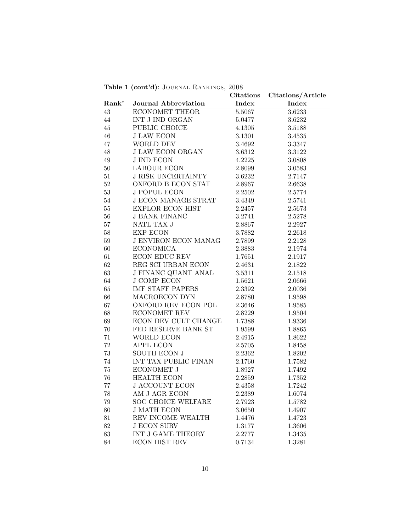Table 1 (cont'd): JOURNAL RANKINGS, 2008

|          |                             | <b>Citations</b> | Citations/Article |
|----------|-----------------------------|------------------|-------------------|
| $Rank^*$ | Journal Abbreviation        | Index            | Index             |
| 43       | <b>ECONOMET THEOR</b>       | 5.5067           | 3.6233            |
| 44       | INT J IND ORGAN             | $5.0477\,$       | 3.6232            |
| 45       | PUBLIC CHOICE               | $4.1305\,$       | 3.5188            |
| $46\,$   | <b>J LAW ECON</b>           | $3.1301\,$       | 3.4535            |
| 47       | WORLD DEV                   | 3.4692           | 3.3347            |
| 48       | <b>J LAW ECON ORGAN</b>     | 3.6312           | 3.3122            |
| $49\,$   | <b>J IND ECON</b>           | 4.2225           | 3.0808            |
| $50\,$   | <b>LABOUR ECON</b>          | 2.8099           | 3.0583            |
| 51       | <b>J RISK UNCERTAINTY</b>   | 3.6232           | 2.7147            |
| $52\,$   | OXFORD B ECON STAT          | 2.8967           | 2.6638            |
| $53\,$   | <b>J POPUL ECON</b>         | 2.2502           | 2.5774            |
| $54\,$   | <b>J ECON MANAGE STRAT</b>  | $3.4349\,$       | 2.5741            |
| $55\,$   | <b>EXPLOR ECON HIST</b>     | 2.2457           | 2.5673            |
| 56       | <b>J BANK FINANC</b>        | 3.2741           | 2.5278            |
| 57       | NATL TAX J                  | 2.8867           | 2.2927            |
| 58       | EXP ECON                    | 3.7882           | 2.2618            |
| $59\,$   | <b>J ENVIRON ECON MANAG</b> | 2.7899           | 2.2128            |
| 60       | <b>ECONOMICA</b>            | 2.3883           | 2.1974            |
| 61       | ECON EDUC REV               | 1.7651           | 2.1917            |
| 62       | REG SCI URBAN ECON          | 2.4631           | 2.1822            |
| 63       | <b>J FINANC QUANT ANAL</b>  | 3.5311           | $2.1518\,$        |
| $64\,$   | <b>J COMP ECON</b>          | 1.5621           | $2.0666\,$        |
| 65       | <b>IMF STAFF PAPERS</b>     | 2.3392           | 2.0036            |
| 66       | MACROECON DYN               | 2.8780           | 1.9598            |
| 67       | OXFORD REV ECON POL         | 2.3646           | 1.9585            |
| 68       | ECONOMET REV                | 2.8229           | 1.9504            |
| 69       | ECON DEV CULT CHANGE        | 1.7388           | 1.9336            |
| $70\,$   | FED RESERVE BANK ST         | $1.9599\,$       | 1.8865            |
| 71       | WORLD ECON                  | 2.4915           | 1.8622            |
| $72\,$   | APPL ECON                   | 2.5705           | 1.8458            |
| $73\,$   | SOUTH ECON J                | $2.2362\,$       | 1.8202            |
| 74       | INT TAX PUBLIC FINAN        | 2.1760           | 1.7582            |
| $75\,$   | ECONOMET J                  | 1.8927           | 1.7492            |
| 76       | HEALTH ECON                 | 2.2859           | 1.7352            |
| $77\,$   | <b>J ACCOUNT ECON</b>       | 2.4358           | 1.7242            |
| $78\,$   | AM J AGR ECON               | $2.2389\,$       | 1.6074            |
| 79       | <b>SOC CHOICE WELFARE</b>   | 2.7923           | 1.5782            |
| $80\,$   | <b>J MATH ECON</b>          | 3.0650           | 1.4907            |
| $81\,$   | REV INCOME WEALTH           | 1.4476           | 1.4723            |
| $82\,$   | <b>J ECON SURV</b>          | 1.3177           | 1.3606            |
| $83\,$   | INT J GAME THEORY           | 2.2777           | 1.3435            |
| 84       | <b>ECON HIST REV</b>        | 0.7134           | 1.3281            |
|          |                             |                  |                   |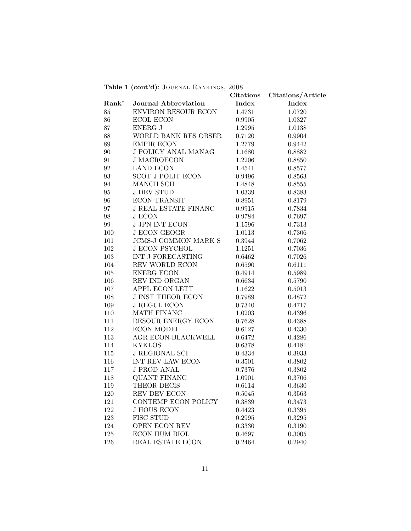|          |                             | <b>Citations</b> | Citations/Article |
|----------|-----------------------------|------------------|-------------------|
| $Rank^*$ | Journal Abbreviation        | Index            | Index             |
| 85       | <b>ENVIRON RESOUR ECON</b>  | 1.4731           | 1.0720            |
| 86       | <b>ECOL ECON</b>            | 0.9905           | 1.0327            |
| 87       | ENERG J                     | 1.2995           | 1.0138            |
| 88       | WORLD BANK RES OBSER        | 0.7120           | 0.9904            |
| $89\,$   | <b>EMPIR ECON</b>           | 1.2779           | 0.9442            |
| $90\,$   | <b>J POLICY ANAL MANAG</b>  | 1.1680           | 0.8882            |
| 91       | <b>J MACROECON</b>          | 1.2206           | 0.8850            |
| 92       | <b>LAND ECON</b>            | 1.4541           | 0.8577            |
| 93       | <b>SCOT J POLIT ECON</b>    | 0.9496           | 0.8563            |
| 94       | MANCH SCH                   | 1.4848           | 0.8555            |
| 95       | <b>J DEV STUD</b>           | 1.0339           | 0.8383            |
| 96       | <b>ECON TRANSIT</b>         | 0.8951           | 0.8179            |
| 97       | <b>J REAL ESTATE FINANC</b> | 0.9915           | 0.7834            |
| $98\,$   | <b>J ECON</b>               | 0.9784           | 0.7697            |
| 99       | <b>J JPN INT ECON</b>       | $1.1596\,$       | 0.7313            |
| 100      | <b>J ECON GEOGR</b>         | 1.0113           | 0.7306            |
| 101      | <b>JCMS-J COMMON MARK S</b> | 0.3944           | 0.7062            |
| 102      | <b>J ECON PSYCHOL</b>       | 1.1251           | 0.7036            |
| 103      | INT J FORECASTING           | $0.6462\,$       | 0.7026            |
| 104      | REV WORLD ECON              | 0.6590           | 0.6111            |
| $105\,$  | ENERG ECON                  | 0.4914           | 0.5989            |
| 106      | REV IND ORGAN               | 0.6634           | 0.5790            |
| 107      | APPL ECON LETT              | 1.1622           | 0.5013            |
| 108      | <b>J INST THEOR ECON</b>    | 0.7989           | 0.4872            |
| 109      | <b>J REGUL ECON</b>         | 0.7340           | 0.4717            |
| 110      | MATH FINANC                 | 1.0203           | 0.4396            |
| 111      | RESOUR ENERGY ECON          | 0.7628           | 0.4388            |
| 112      | <b>ECON MODEL</b>           | 0.6127           | 0.4330            |
| 113      | AGR ECON-BLACKWELL          | 0.6472           | 0.4286            |
| 114      | <b>KYKLOS</b>               | 0.6378           | 0.4181            |
| 115      | <b>J REGIONAL SCI</b>       | 0.4334           | 0.3933            |
| 116      | INT REV LAW ECON            | 0.3501           | 0.3802            |
| 117      | <b>J PROD ANAL</b>          | 0.7376           | 0.3802            |
| 118      | <b>QUANT FINANC</b>         | 1.0901           | 0.3706            |
| 119      | THEOR DECIS                 | 0.6114           | 0.3630            |
| $120\,$  | REV DEV ECON                | 0.5045           | 0.3563            |
| 121      | CONTEMP ECON POLICY         | 0.3839           | 0.3473            |
| 122      | <b>J HOUS ECON</b>          | 0.4423           | 0.3395            |
| 123      | FISC STUD                   | 0.2995           | 0.3295            |
| 124      | <b>OPEN ECON REV</b>        | 0.3330           | 0.3190            |
| 125      | ECON HUM BIOL               | 0.4697           | 0.3005            |
| 126      | REAL ESTATE ECON            | 0.2464           | 0.2940            |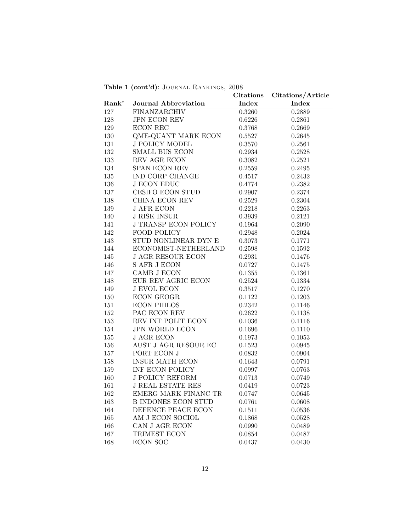| Table 1 (cont'd): JOURNAL RANKINGS, 2008 |  |
|------------------------------------------|--|
|------------------------------------------|--|

|          |                             | Citations  | Citations/Article |  |
|----------|-----------------------------|------------|-------------------|--|
| $Rank^*$ | <b>Journal Abbreviation</b> | Index      | Index             |  |
| 127      | FINANZARCHIV                | 0.3260     | 0.2889            |  |
| 128      | JPN ECON REV                | 0.6226     | 0.2861            |  |
| 129      | <b>ECON REC</b>             | 0.3768     | 0.2669            |  |
| $130\,$  | $\,$ QME-QUANT MARK ECON    | 0.5527     | 0.2645            |  |
| 131      | $\rm J$ POLICY MODEL        | 0.3570     | $0.2561\,$        |  |
| 132      | SMALL BUS ECON              | 0.2934     | 0.2528            |  |
| 133      | REV AGR ECON                | 0.3082     | 0.2521            |  |
| 134      | SPAN ECON REV               | 0.2559     | 0.2495            |  |
| 135      | IND CORP CHANGE             | 0.4517     | 0.2432            |  |
| 136      | ${\rm J}$ ECON EDUC         | 0.4774     | 0.2382            |  |
| 137      | CESIFO ECON STUD            | 0.2907     | 0.2374            |  |
| 138      | CHINA ECON REV              | 0.2529     | 0.2304            |  |
| 139      | <b>J AFR ECON</b>           | 0.2218     | 0.2263            |  |
| 140      | <b>J RISK INSUR</b>         | $0.3939\,$ | 0.2121            |  |
| 141      | <b>J TRANSP ECON POLICY</b> | 0.1964     | 0.2090            |  |
| 142      | FOOD POLICY                 | 0.2948     | 0.2024            |  |
| 143      | STUD NONLINEAR DYN E        | 0.3073     | 0.1771            |  |
| 144      | ECONOMIST-NETHERLAND        | 0.2598     | 0.1592            |  |
| 145      | <b>J AGR RESOUR ECON</b>    | 0.2931     | 0.1476            |  |
| 146      | <b>S AFR J ECON</b>         | 0.0727     | 0.1475            |  |
| 147      | CAMB J ECON                 | 0.1355     | 0.1361            |  |
| 148      | EUR REV AGRIC ECON          | $0.2524\,$ | 0.1334            |  |
| 149      | <b>J EVOL ECON</b>          | 0.3517     | 0.1270            |  |
| 150      | <b>ECON GEOGR</b>           | 0.1122     | 0.1203            |  |
| 151      | <b>ECON PHILOS</b>          | 0.2342     | 0.1146            |  |
| 152      | PAC ECON REV                | 0.2622     | 0.1138            |  |
| 153      | REV INT POLIT ECON          | 0.1036     | 0.1116            |  |
| 154      | JPN WORLD ECON              | 0.1696     | 0.1110            |  |
| $155\,$  | <b>J AGR ECON</b>           | 0.1973     | 0.1053            |  |
| $156\,$  | AUST J AGR RESOUR EC        | 0.1523     | 0.0945            |  |
| 157      | PORT ECON J                 | 0.0832     | 0.0904            |  |
| 158      | INSUR MATH ECON             | 0.1643     | 0.0791            |  |
| 159      | INF ECON POLICY             | 0.0997     | 0.0763            |  |
| 160      | <b>J POLICY REFORM</b>      | 0.0713     | 0.0749            |  |
| 161      | <b>J REAL ESTATE RES</b>    | 0.0419     | 0.0723            |  |
| $162\,$  | EMERG MARK FINANC TR        | 0.0747     | 0.0645            |  |
| 163      | <b>B INDONES ECON STUD</b>  | 0.0761     | 0.0608            |  |
| 164      | DEFENCE PEACE ECON          | 0.1511     | 0.0536            |  |
| $165\,$  | AM J ECON SOCIOL            | 0.1868     | 0.0528            |  |
| 166      | CAN J AGR ECON              | 0.0990     | 0.0489            |  |
| $167\,$  | TRIMEST ECON                | 0.0854     | 0.0487            |  |
| 168      | <b>ECON SOC</b>             | 0.0437     | 0.0430            |  |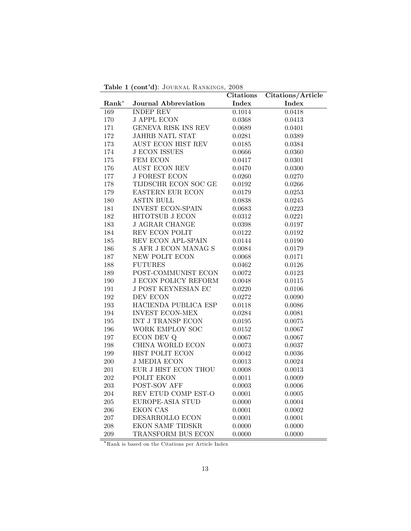| Table 1 (cont'd): JOURNAL RANKINGS, 2008 |  |
|------------------------------------------|--|
|------------------------------------------|--|

|          |                             | <b>Citations</b> | Citations/Article |  |  |
|----------|-----------------------------|------------------|-------------------|--|--|
| $Rank^*$ | Journal Abbreviation        | Index            | Index             |  |  |
| 169      | <b>INDEP REV</b>            | 0.1014           | 0.0418            |  |  |
| 170      | <b>J APPL ECON</b>          | 0.0368           | 0.0413            |  |  |
| 171      | GENEVA RISK INS REV         | 0.0689           | 0.0401            |  |  |
| 172      | JAHRB NATL STAT             | 0.0281           | 0.0389            |  |  |
| 173      | <b>AUST ECON HIST REV</b>   | 0.0185           | 0.0384            |  |  |
| 174      | <b>J ECON ISSUES</b>        | 0.0666           | 0.0360            |  |  |
| 175      | FEM ECON                    | 0.0417           | 0.0301            |  |  |
| 176      | <b>AUST ECON REV</b>        | 0.0470           | 0.0300            |  |  |
| 177      | <b>J FOREST ECON</b>        | 0.0260           | 0.0270            |  |  |
| 178      | TIJDSCHR ECON SOC GE        | 0.0192           | 0.0266            |  |  |
| 179      | EASTERN EUR ECON            | 0.0179           | 0.0253            |  |  |
| $180\,$  | <b>ASTIN BULL</b>           | $\,0.0838\,$     | 0.0245            |  |  |
| 181      | <b>INVEST ECON-SPAIN</b>    | 0.0683           | 0.0223            |  |  |
| 182      | HITOTSUB J ECON             | 0.0312           | 0.0221            |  |  |
| 183      | <b>J AGRAR CHANGE</b>       | 0.0398           | 0.0197            |  |  |
| 184      | REV ECON POLIT              | 0.0122           | 0.0192            |  |  |
| $185\,$  | REV ECON APL-SPAIN          | 0.0144           | 0.0190            |  |  |
| $186\,$  | S AFR J ECON MANAG S        | 0.0084           | 0.0179            |  |  |
| 187      | NEW POLIT ECON              | 0.0068           | 0.0171            |  |  |
| 188      | <b>FUTURES</b>              | 0.0462           | 0.0126            |  |  |
| 189      | POST-COMMUNIST ECON         | 0.0072           | 0.0123            |  |  |
| 190      | <b>J ECON POLICY REFORM</b> | 0.0048           | 0.0115            |  |  |
| 191      | J POST KEYNESIAN EC         | 0.0220           | 0.0106            |  |  |
| 192      | DEV ECON                    | 0.0272           | 0.0090            |  |  |
| $193\,$  | HACIENDA PUBLICA ESP        | 0.0118           | 0.0086            |  |  |
| 194      | <b>INVEST ECON-MEX</b>      | 0.0284           | 0.0081            |  |  |
| $195\,$  | INT J TRANSP ECON           | 0.0195           | 0.0075            |  |  |
| 196      | WORK EMPLOY SOC             | $\,0.0152\,$     | 0.0067            |  |  |
| 197      | ECON DEV Q                  | 0.0067           | 0.0067            |  |  |
| $198\,$  | CHINA WORLD ECON            | 0.0073           | 0.0037            |  |  |
| $199\,$  | HIST POLIT ECON             | 0.0042           | 0.0036            |  |  |
| 200      | <b>J MEDIA ECON</b>         | 0.0013           | 0.0024            |  |  |
| $201\,$  | EUR J HIST ECON THOU        | 0.0008           | 0.0013            |  |  |
| $202\,$  | POLIT EKON                  | 0.0011           | 0.0009            |  |  |
| 203      | POST-SOV AFF                | 0.0003           | 0.0006            |  |  |
| 204      | REV ETUD COMP EST-O         | 0.0001           | 0.0005            |  |  |
| $205\,$  | EUROPE-ASIA STUD            | 0.0000           | 0.0004            |  |  |
| 206      | <b>EKON CAS</b>             | 0.0001           | 0.0002            |  |  |
| 207      | DESARROLLO ECON             | 0.0001           | 0.0001            |  |  |
| 208      | EKON SAMF TIDSKR            | 0.0000           | 0.0000            |  |  |
| 209      | TRANSFORM BUS ECON          | 0.0000           | 0.0000            |  |  |

Rank is based on the Citations per Article Index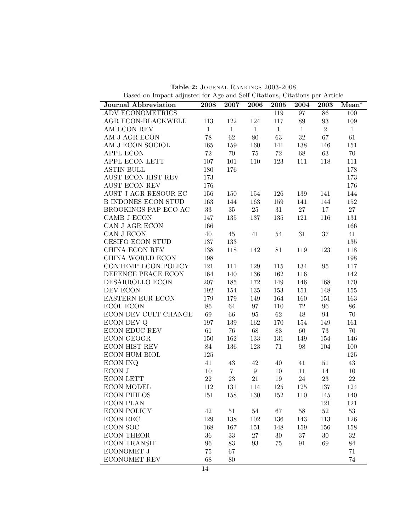| Journal Abbreviation       | 2008         | 2007            | 2006         | 2005         | 2004         | 2003              | $Mean^*$     |
|----------------------------|--------------|-----------------|--------------|--------------|--------------|-------------------|--------------|
| <b>ADV ECONOMETRICS</b>    |              |                 |              | 119          | 97           | 86                | 100          |
| AGR ECON-BLACKWELL         | 113          | 122             | 124          | 117          | 89           | $\boldsymbol{93}$ | 109          |
| AM ECON REV                | $\mathbf{1}$ | $\mathbf{1}$    | $\mathbf{1}$ | $\mathbf{1}$ | $\mathbf{1}$ | $\overline{2}$    | $\mathbf{1}$ |
| AM J AGR ECON              | 78           | 62              | 80           | 63           | $32\,$       | 67                | 61           |
| AM J ECON SOCIOL           | 165          | 159             | 160          | 141          | 138          | 146               | 151          |
| APPL ECON                  | 72           | 70              | 75           | 72           | 68           | 63                | $70\,$       |
| APPL ECON LETT             | 107          | 101             | 110          | 123          | 111          | 118               | 111          |
| <b>ASTIN BULL</b>          | 180          | 176             |              |              |              |                   | 178          |
| AUST ECON HIST REV         | 173          |                 |              |              |              |                   | 173          |
| AUST ECON REV              | 176          |                 |              |              |              |                   | 176          |
| AUST J AGR RESOUR EC       | 156          | 150             | 154          | 126          | 139          | 141               | 144          |
| <b>B INDONES ECON STUD</b> | 163          | 144             | 163          | 159          | 141          | 144               | 152          |
| BROOKINGS PAP ECO AC       | 33           | 35              | $25\,$       | 31           | 27           | 17                | $27\,$       |
| CAMB J ECON                | 147          | 135             | 137          | 135          | 121          | 116               | $131\,$      |
| CAN J AGR ECON             | 166          |                 |              |              |              |                   | 166          |
| CAN J ECON                 | 40           | 45              | 41           | 54           | $31\,$       | 37                | 41           |
| CESIFO ECON STUD           | 137          | 133             |              |              |              |                   | 135          |
| CHINA ECON REV             | 138          | 118             | 142          | 81           | 119          | 123               | 118          |
| CHINA WORLD ECON           | 198          |                 |              |              |              |                   | 198          |
| CONTEMP ECON POLICY        | 121          | 111             | 129          | 115          | 134          | 95                | 117          |
| DEFENCE PEACE ECON         | 164          | 140             | 136          | 162          | 116          |                   | 142          |
| DESARROLLO ECON            | 207          | 185             | 172          | 149          | 146          | 168               | 170          |
| DEV ECON                   | 192          | 154             | $135\,$      | 153          | 151          | 148               | 155          |
| EASTERN EUR ECON           | 179          | 179             | 149          | 164          | 160          | 151               | $163\,$      |
| ECOL ECON                  | 86           | 64              | 97           | 110          | 72           | $96\,$            | 86           |
| ECON DEV CULT CHANGE       | 69           | 66              | $95\,$       | 62           | 48           | 94                | 70           |
| ECON DEV Q                 | 197          | 139             | 162          | 170          | 154          | 149               | 161          |
| ECON EDUC REV              | 61           | 76              | 68           | 83           | 60           | 73                | 70           |
| ECON GEOGR                 | 150          | 162             | 133          | 131          | 149          | 154               | 146          |
| ECON HIST REV              | 84           | 136             | $123\,$      | 71           | 98           | 104               | 100          |
| ECON HUM BIOL              | 125          |                 |              |              |              |                   | 125          |
| <b>ECON INQ</b>            | 41           | 43              | 42           | 40           | 41           | 51                | 43           |
| ECON J                     | 10           | $7\overline{ }$ | $9\,$        | $10\,$       | 11           | 14                | 10           |
| <b>ECON LETT</b>           | $22\,$       | 23              | 21           | 19           | 24           | $23\,$            | $22\,$       |
| <b>ECON MODEL</b>          | 112          | 131             | 114          | 125          | 125          | 137               | 124          |
| <b>ECON PHILOS</b>         | 151          | 158             | 130          | 152          | 110          | 145               | 140          |
| ECON PLAN                  |              |                 |              |              |              | 121               | 121          |
| <b>ECON POLICY</b>         | $42\,$       | $51\,$          | $54\,$       | 67           | $58\,$       | $52\,$            | $53\,$       |
| <b>ECON REC</b>            | 129          | 138             | 102          | 136          | 143          | 113               | 126          |
| <b>ECON SOC</b>            | 168          | 167             | 151          | 148          | 159          | 156               | 158          |
| <b>ECON THEOR</b>          | 36           | 33              | 27           | $30\,$       | $37\,$       | $30\,$            | $32\,$       |
| <b>ECON TRANSIT</b>        | 96           | 83              | 93           | $75\,$       | 91           | 69                | 84           |
| ECONOMET J                 | 75           | 67              |              |              |              |                   | 71           |
| <b>ECONOMET REV</b>        | 68           | 80              |              |              |              |                   | 74           |

Table 2: Journal Rankings 2003-2008 Based on Impact adjusted for Age and Self Citations, Citations per Article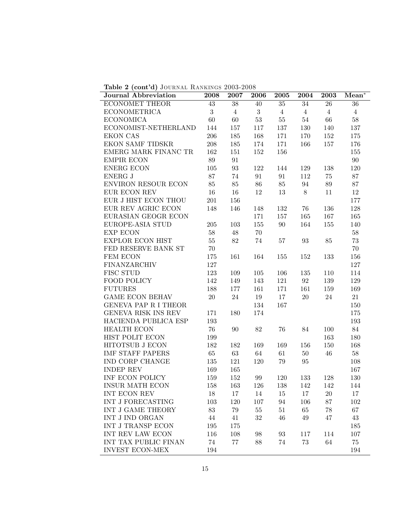Table 2 (cont'd) JOURNAL RANKINGS 2003-2008

| Journal Abbreviation    | 2008   | 2007              | 2006             | 2005              | 2004           | 2003           | $Mean^*$       |
|-------------------------|--------|-------------------|------------------|-------------------|----------------|----------------|----------------|
| <b>ECONOMET THEOR</b>   | 43     | 38                | 40               | 35                | 34             | 26             | 36             |
| <b>ECONOMETRICA</b>     | 3      | $\overline{4}$    | $\boldsymbol{3}$ | $\overline{4}$    | $\overline{4}$ | $\overline{4}$ | $\overline{4}$ |
| <b>ECONOMICA</b>        | 60     | 60                | $53\,$           | $55\,$            | $54\,$         | 66             | $58\,$         |
| ECONOMIST-NETHERLAND    | 144    | 157               | 117              | 137               | 130            | 140            | 137            |
| <b>EKON CAS</b>         | 206    | 185               | 168              | 171               | 170            | 152            | 175            |
| <b>EKON SAMF TIDSKR</b> | 208    | 185               | 174              | 171               | 166            | 157            | 176            |
| EMERG MARK FINANC TR    | 162    | 151               | 152              | 156               |                |                | 155            |
| <b>EMPIR ECON</b>       | 89     | 91                |                  |                   |                |                | 90             |
| <b>ENERG ECON</b>       | 105    | $\boldsymbol{93}$ | 122              | 144               | 129            | 138            | 120            |
| <b>ENERG J</b>          | 87     | 74                | 91               | 91                | 112            | 75             | 87             |
| ENVIRON RESOUR ECON     | 85     | 85                | 86               | 85                | 94             | 89             | 87             |
| EUR ECON REV            | 16     | $16\,$            | 12               | 13                | 8              | 11             | 12             |
| EUR J HIST ECON THOU    | 201    | 156               |                  |                   |                |                | 177            |
| EUR REV AGRIC ECON      | 148    | 146               | 148              | 132               | 76             | 136            | 128            |
| EURASIAN GEOGR ECON     |        |                   | 171              | 157               | 165            | 167            | 165            |
| EUROPE-ASIA STUD        | 205    | 103               | 155              | 90                | 164            | 155            | 140            |
| <b>EXP ECON</b>         | $58\,$ | 48                | 70               |                   |                |                | 58             |
| <b>EXPLOR ECON HIST</b> | $55\,$ | 82                | 74               | 57                | 93             | 85             | 73             |
| FED RESERVE BANK ST     | 70     |                   |                  |                   |                |                | $70\,$         |
| FEM ECON                | 175    | 161               | 164              | 155               | 152            | 133            | 156            |
| FINANZARCHIV            | 127    |                   |                  |                   |                |                | 127            |
| FISC STUD               | 123    | 109               | 105              | 106               | 135            | 110            | 114            |
| FOOD POLICY             | 142    | 149               | 143              | 121               | 92             | 139            | 129            |
| <b>FUTURES</b>          | 188    | 177               | 161              | 171               | 161            | 159            | 169            |
| <b>GAME ECON BEHAV</b>  | $20\,$ | 24                | 19               | 17                | $20\,$         | 24             | 21             |
| GENEVA PAP R I THEOR    |        |                   | 134              | 167               |                |                | 150            |
| GENEVA RISK INS REV     | 171    | 180               | 174              |                   |                |                | 175            |
| HACIENDA PUBLICA ESP    | 193    |                   |                  |                   |                |                | 193            |
| HEALTH ECON             | 76     | 90                | 82               | 76                | 84             | 100            | 84             |
| HIST POLIT ECON         | 199    |                   |                  |                   |                | 163            | 180            |
| HITOTSUB J ECON         | 182    | 182               | 169              | 169               | 156            | 150            | 168            |
| <b>IMF STAFF PAPERS</b> | 65     | $63\,$            | 64               | 61                | $50\,$         | 46             | $58\,$         |
| IND CORP CHANGE         | 135    | 121               | 120              | 79                | 95             |                | 108            |
| <b>INDEP REV</b>        | 169    | 165               |                  |                   |                |                | 167            |
| INF ECON POLICY         | 159    | 152               | 99               | 120               | 133            | 128            | 130            |
| <b>INSUR MATH ECON</b>  | 158    | 163               | 126              | 138               | 142            | 142            | 144            |
| INT ECON REV            | 18     | 17                | 14               | 15                | 17             | 20             | $17\,$         |
| INT J FORECASTING       | 103    | 120               | 107              | 94                | 106            | 87             | 102            |
| INT J GAME THEORY       | $83\,$ | $79\,$            | $55\,$           | $51\,$            | 65             | $78\,$         | 67             |
| INT J IND ORGAN         | 44     | 41                | 32               | $46\,$            | $49\,$         | 47             | $43\,$         |
| INT J TRANSP ECON       | 195    | 175               |                  |                   |                |                | 185            |
| INT REV LAW ECON        | 116    | 108               | 98               | $\boldsymbol{93}$ | 117            | 114            | 107            |
| INT TAX PUBLIC FINAN    | 74     | 77                | 88               | 74                | $73\,$         | 64             | 75             |
| <b>INVEST ECON-MEX</b>  | 194    |                   |                  |                   |                |                | 194            |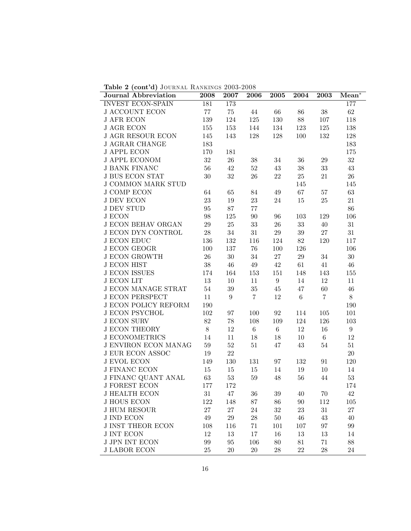Table 2 (cont'd) JOURNAL RANKINGS 2003-2008

| <b>Journal Abbreviation</b> | 2008              | 2007             | 2006           | 2005             | 2004    | 2003           | $Mean^*$         |
|-----------------------------|-------------------|------------------|----------------|------------------|---------|----------------|------------------|
| INVEST ECON-SPAIN           | 181               | 173              |                |                  |         |                | 177              |
| <b>J ACCOUNT ECON</b>       | $77\,$            | $75\,$           | 44             | 66               | $86\,$  | $38\,$         | $62\,$           |
| <b>J AFR ECON</b>           | $139\,$           | $124\,$          | 125            | 130              | $88\,$  | 107            | 118              |
| <b>J AGR ECON</b>           | 155               | 153              | 144            | 134              | 123     | 125            | $138\,$          |
| <b>J AGR RESOUR ECON</b>    | 145               | 143              | 128            | 128              | 100     | 132            | $128\,$          |
| <b>J AGRAR CHANGE</b>       | 183               |                  |                |                  |         |                | 183              |
| <b>J APPL ECON</b>          | 170               | 181              |                |                  |         |                | 175              |
| <b>J APPL ECONOM</b>        | $32\,$            | ${\bf 26}$       | $38\,$         | $34\,$           | $36\,$  | $29\,$         | $32\,$           |
| <b>J BANK FINANC</b>        | $56\,$            | $42\,$           | $52\,$         | $43\,$           | $38\,$  | $33\,$         | 43               |
| <b>J BUS ECON STAT</b>      | $30\,$            | $32\,$           | $26\,$         | $22\,$           | $25\,$  | 21             | $26\,$           |
| <b>J COMMON MARK STUD</b>   |                   |                  |                |                  | 145     |                | 145              |
| <b>J COMP ECON</b>          | 64                | $65\,$           | 84             | 49               | 67      | $57\,$         | $63\,$           |
| <b>J DEV ECON</b>           | $23\,$            | $19\,$           | $23\,$         | $24\,$           | $15\,$  | $25\,$         | $21\,$           |
| $J$ DEV STUD                | 95                | 87               | $77\,$         |                  |         |                | $86\,$           |
| <b>J ECON</b>               | $98\,$            | $125\,$          | $90\,$         | 96               | 103     | 129            | 106              |
| <b>J ECON BEHAV ORGAN</b>   | $29\,$            | $25\,$           | $33\,$         | $26\,$           | $33\,$  | $40\,$         | $31\,$           |
| <b>J ECON DYN CONTROL</b>   | $28\,$            | $34\,$           | $31\,$         | $29\,$           | $39\,$  | $27\,$         | $31\,$           |
| <b>J ECON EDUC</b>          | 136               | 132              | 116            | 124              | $82\,$  | 120            | 117              |
| <b>J ECON GEOGR</b>         | 100               | 137              | $76\,$         | 100              | 126     |                | 106              |
| <b>J ECON GROWTH</b>        | $26\,$            | $30\,$           | $34\,$         | 27               | $29\,$  | $34\,$         | $30\,$           |
| <b>J ECON HIST</b>          | $38\,$            | $46\,$           | $49\,$         | $42\,$           | 61      | 41             | 46               |
| <b>J ECON ISSUES</b>        | 174               | 164              | 153            | 151              | 148     | 143            | 155              |
| <b>J ECON LIT</b>           | $13\,$            | $10\,$           | 11             | $\boldsymbol{9}$ | 14      | 12             | 11               |
| J ECON MANAGE STRAT         | $54\,$            | $39\,$           | $35\,$         | 45               | 47      | $60\,$         | $46\,$           |
| <b>J ECON PERSPECT</b>      | 11                | $\boldsymbol{9}$ | $\overline{7}$ | 12               | $\,6\,$ | $\overline{7}$ | $8\,$            |
| <b>J ECON POLICY REFORM</b> | 190               |                  |                |                  |         |                | 190              |
| <b>J ECON PSYCHOL</b>       | 102               | 97               | 100            | 92               | 114     | $105\,$        | 101              |
| <b>J ECON SURV</b>          | $82\,$            | $78\,$           | 108            | 109              | 124     | 126            | 103              |
| <b>J ECON THEORY</b>        | $8\,$             | $12\,$           | $\,6\,$        | $\,6\,$          | 12      | $16\,$         | $\boldsymbol{9}$ |
| <b>J ECONOMETRICS</b>       | 14                | 11               | $18\,$         | $18\,$           | $10\,$  | 6              | 12               |
| <b>J ENVIRON ECON MANAG</b> | $59\,$            | $52\,$           | $51\,$         | 47               | $43\,$  | 54             | $51\,$           |
| <b>J EUR ECON ASSOC</b>     | 19                | 22               |                |                  |         |                | $20\,$           |
| <b>J EVOL ECON</b>          | 149               | 130              | $131\,$        | 97               | 132     | 91             | 120              |
| <b>J FINANC ECON</b>        | 15                | $15\,$           | $15\,$         | $14\,$           | 19      | 10             | 14               |
| J FINANC QUANT ANAL         | $63\,$            | $53\,$           | $59\,$         | 48               | $56\,$  | 44             | $53\,$           |
| <b>J FOREST ECON</b>        | 177               | 172              |                |                  |         |                | 174              |
| J HEALTH ECON               | 31                | 47               | $36\,$         | 39               | 40      | 70             | 42               |
| <b>J HOUS ECON</b>          | 122               | 148              | $87\,$         | 86               | 90      | 112            | 105              |
| <b>J HUM RESOUR</b>         | $27\,$            | $27\,$           | 24             | $32\,$           | $23\,$  | $31\,$         | $27\,$           |
| <b>J IND ECON</b>           | $49\,$            | $\,29$           | ${\bf 28}$     | $50\,$           | 46      | $43\,$         | 40               |
| <b>J INST THEOR ECON</b>    | 108               | 116              | 71             | 101              | 107     | 97             | 99               |
| <b>J INT ECON</b>           | 12                | 13               | 17             | 16               | $13\,$  | 13             | 14               |
| <b>J JPN INT ECON</b>       | $\boldsymbol{99}$ | 95               | 106            | $80\,$           | 81      | 71             | 88               |
| <b>J LABOR ECON</b>         | $25\,$            | $20\,$           | $20\,$         | 28               | 22      | $28\,$         | 24               |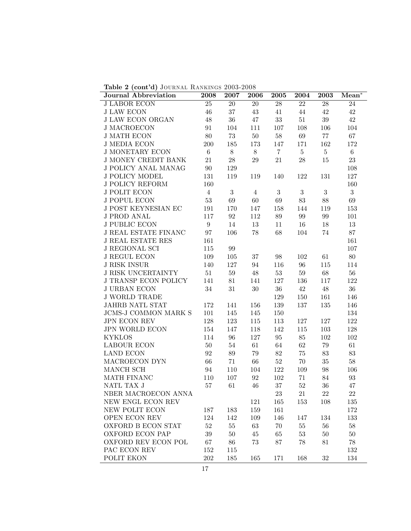Table 2 (cont'd) JOURNAL RANKINGS 2003-2008

| Journal Abbreviation        | 2008             | 2007   | $20\overline{06}$ | 2005           | 2004             | 2003             | $Mean^*$       |
|-----------------------------|------------------|--------|-------------------|----------------|------------------|------------------|----------------|
| <b>J LABOR ECON</b>         | $25\,$           | $20\,$ | $20\,$            | $28\,$         | 22               | $28\,$           | 24             |
| <b>J LAW ECON</b>           | $46\,$           | 37     | 43                | 41             | 44               | 42               | $42\,$         |
| <b>J LAW ECON ORGAN</b>     | $48\,$           | $36\,$ | 47                | $33\,$         | $51\,$           | 39               | 42             |
| <b>J MACROECON</b>          | 91               | 104    | 111               | 107            | 108              | 106              | 104            |
| <b>J MATH ECON</b>          | $80\,$           | 73     | $50\,$            | $58\,$         | 69               | 77               | 67             |
| <b>J MEDIA ECON</b>         | 200              | 185    | 173               | 147            | 171              | 162              | 172            |
| <b>J MONETARY ECON</b>      | $\,6\,$          | 8      | $8\,$             | $\overline{7}$ | 5 <sup>1</sup>   | $5\phantom{.0}$  | $6\phantom{.}$ |
| <b>J MONEY CREDIT BANK</b>  | 21               | 28     | 29                | $21\,$         | $28\,$           | 15               | $23\,$         |
| J POLICY ANAL MANAG         | 90               | 129    |                   |                |                  |                  | 108            |
| <b>J POLICY MODEL</b>       | 131              | 119    | 119               | 140            | 122              | 131              | 127            |
| <b>J POLICY REFORM</b>      | 160              |        |                   |                |                  |                  | 160            |
| <b>J POLIT ECON</b>         | $\overline{4}$   | 3      | $\overline{4}$    | 3              | $\boldsymbol{3}$ | $\boldsymbol{3}$ | $\mathbf{3}$   |
| <b>J POPUL ECON</b>         | $53\,$           | 69     | 60                | 69             | $83\,$           | $88\,$           | 69             |
| J POST KEYNESIAN EC         | 191              | 170    | 147               | 158            | 144              | 119              | 153            |
| <b>J PROD ANAL</b>          | 117              | 92     | 112               | 89             | 99               | 99               | 101            |
| <b>J PUBLIC ECON</b>        | $\boldsymbol{9}$ | 14     | 13                | 11             | 16               | 18               | 13             |
| <b>J REAL ESTATE FINANC</b> | 97               | 106    | 78                | 68             | 104              | 74               | $87\,$         |
| <b>J REAL ESTATE RES</b>    | 161              |        |                   |                |                  |                  | 161            |
| <b>J REGIONAL SCI</b>       | 115              | 99     |                   |                |                  |                  | 107            |
| <b>J REGUL ECON</b>         | 109              | 105    | $37\,$            | $98\,$         | 102              | 61               | 80             |
| <b>J RISK INSUR</b>         | 140              | 127    | 94                | 116            | 96               | 115              | 114            |
| <b>J RISK UNCERTAINTY</b>   | 51               | $59\,$ | $48\,$            | $53\,$         | 59               | 68               | 56             |
| <b>J TRANSP ECON POLICY</b> | 141              | 81     | 141               | 127            | 136              | 117              | 122            |
| <b>J URBAN ECON</b>         | 34               | 31     | $30\,$            | $36\,$         | 42               | 48               | $36\,$         |
| <b>J WORLD TRADE</b>        |                  |        |                   | 129            | 150              | 161              | 146            |
| JAHRB NATL STAT             | 172              | 141    | 156               | 139            | 137              | 135              | 146            |
| JCMS-J COMMON MARK S        | 101              | 145    | 145               | 150            |                  |                  | 134            |
| JPN ECON REV                | 128              | 123    | 115               | 113            | 127              | 127              | 122            |
| <b>JPN WORLD ECON</b>       | 154              | 147    | 118               | 142            | 115              | 103              | 128            |
| <b>KYKLOS</b>               | 114              | 96     | 127               | 95             | 85               | 102              | 102            |
| <b>LABOUR ECON</b>          | 50               | 54     | 61                | 64             | 62               | 79               | 61             |
| <b>LAND ECON</b>            | 92               | 89     | 79                | $82\,$         | 75               | 83               | $83\,$         |
| MACROECON DYN               | 66               | 71     | 66                | $52\,$         | 70               | 35               | $58\,$         |
| MANCH SCH                   | 94               | 110    | 104               | 122            | 109              | 98               | 106            |
| MATH FINANC                 | 110              | 107    | 92                | 102            | 71               | 84               | 93             |
| NATL TAX J                  | $57\,$           | 61     | $46\,$            | $37\,$         | $52\,$           | 36               | 47             |
| NBER MACROECON ANNA         |                  |        |                   | 23             | 21               | 22               | 22             |
| NEW ENGL ECON REV           |                  |        | 121               | 165            | 153              | 108              | 135            |
| NEW POLIT ECON              | 187              | 183    | 159               | 161            |                  |                  | 172            |
| <b>OPEN ECON REV</b>        | 124              | 142    | 109               | 146            | 147              | 134              | 133            |
| OXFORD B ECON STAT          | $52\,$           | $55\,$ | 63                | 70             | $55\,$           | $56\,$           | $58\,$         |
| <b>OXFORD ECON PAP</b>      | $39\,$           | $50\,$ | 45                | 65             | $53\,$           | $50\,$           | $50\,$         |
| OXFORD REV ECON POL         | 67               | 86     | 73                | 87             | 78               | 81               | 78             |
| PAC ECON REV                | 152              | 115    |                   |                |                  |                  | 132            |
| POLIT EKON                  | 202              | 185    | 165               | 171            | 168              | 32               | 134            |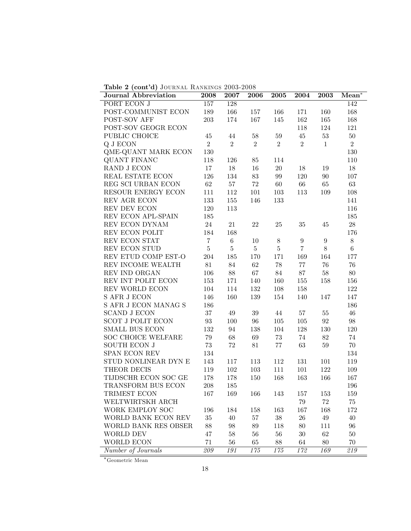|  | Table 2 (cont'd) JOURNAL RANKINGS 2003-2008 |  |
|--|---------------------------------------------|--|
|--|---------------------------------------------|--|

| Journal Abbreviation                       | 2008              | 2007           | 2006           | 2005             | 2004             | 2003             | $Mean^*$       |
|--------------------------------------------|-------------------|----------------|----------------|------------------|------------------|------------------|----------------|
| PORT ECON J                                | $157\,$           | 128            |                |                  |                  |                  | 142            |
| POST-COMMUNIST ECON                        | 189               | 166            | 157            | 166              | 171              | 160              | 168            |
| POST-SOV AFF                               | $203\,$           | 174            | $167\,$        | 145              | $162\,$          | 165              | 168            |
| POST-SOV GEOGR ECON                        |                   |                |                |                  | 118              | 124              | 121            |
| PUBLIC CHOICE                              | $45\,$            | 44             | $58\,$         | 59               | $45\,$           | $53\,$           | $50\,$         |
| Q J ECON                                   | $\overline{2}$    | $\overline{2}$ | $\overline{2}$ | $\overline{2}$   | $\overline{2}$   | $\mathbf{1}$     | $\overline{2}$ |
| QME-QUANT MARK ECON                        | $130\,$           |                |                |                  |                  |                  | 130            |
| <b>QUANT FINANC</b>                        | 118               | 126            | 85             | 114              |                  |                  | 110            |
| RAND J ECON                                | 17                | 18             | $16\,$         | $20\,$           | $18\,$           | 19               | $18\,$         |
| REAL ESTATE ECON                           | 126               | 134            | $83\,$         | 99               | 120              | 90               | 107            |
| REG SCI URBAN ECON                         | $62\,$            | $57\,$         | $72\,$         | 60               | 66               | $\sqrt{65}$      | $63\,$         |
| RESOUR ENERGY ECON                         | 111               | 112            | 101            | 103              | 113              | 109              | 108            |
| REV AGR ECON                               | 133               | 155            | 146            | 133              |                  |                  | 141            |
| REV DEV ECON                               | 120               | 113            |                |                  |                  |                  | 116            |
| REV ECON APL-SPAIN                         | 185               |                |                |                  |                  |                  | 185            |
| REV ECON DYNAM                             | 24                | 21             | 22             | 25               | $35\,$           | 45               | 28             |
| REV ECON POLIT                             | 184               | 168            |                |                  |                  |                  | 176            |
| REV ECON STAT                              | $\,7$             | $\,6$          | $10\,$         | $8\,$            | $\boldsymbol{9}$ | $\boldsymbol{9}$ | $8\,$          |
| REV ECON STUD                              | $\bf 5$           | $\bf 5$        | $\bf 5$        | $\bf 5$          | $\overline{7}$   | $8\,$            | $\,6$          |
| REV ETUD COMP EST-O                        | $\,204$           | 185            | 170            | 171              | 169              | 164              | 177            |
| REV INCOME WEALTH                          | $81\,$            | $84\,$         | 62             | $78\,$           | 77               | $76\,$           | 76             |
| REV IND ORGAN                              | 106               | 88             | $67\,$         | $84\,$           | 87               | 58               | $80\,$         |
| REV INT POLIT ECON                         | 153               | 171            | 140            | 160              | $155\,$          | 158              | 156            |
| REV WORLD ECON                             | 104               | 114            | 132            | 108              | 158              |                  | 122            |
| S AFR J ECON                               | 146               | 160            | 139            | 154              | 140              | 147              | 147            |
| $\mathcal S$ AFR J ECON MANAG $\mathcal S$ | 186               |                |                |                  |                  |                  | 186            |
| <b>SCAND J ECON</b>                        | 37                | 49             | $39\,$         | 44               | $57\,$           | 55               | $46\,$         |
| <b>SCOT J POLIT ECON</b>                   | $\boldsymbol{93}$ | 100            | $96\,$         | $105\,$          | $105\,$          | 92               | $98\,$         |
| SMALL BUS ECON                             | 132               | 94             | 138            | 104              | 128              | 130              | 120            |
| <b>SOC CHOICE WELFARE</b>                  | 79                | 68             | 69             | $73\,$           | 74               | $82\,$           | 74             |
| <b>SOUTH ECON J</b>                        | $73\,$            | $72\,$         | $81\,$         | $77\,$           | 63               | $59\,$           | 70             |
| SPAN ECON REV                              | 134               |                |                |                  |                  |                  | 134            |
| STUD NONLINEAR DYN E                       | 143               | 117            | 113            | 112              | 131              | 101              | 119            |
| THEOR DECIS                                | 119               | 102            | 103            | 111              | 101              | 122              | 109            |
| TIJDSCHR ECON SOC GE                       | 178               | 178            | 150            | 168              | 163              | 166              | 167            |
| TRANSFORM BUS ECON                         | 208               | 185            |                |                  |                  |                  | 196            |
| TRIMEST ECON                               | 167               | 169            | 166            | 143              | 157              | 153              | 159            |
| WELTWIRTSKH ARCH                           |                   |                |                |                  | 79               | $72\,$           | $75\,$         |
| WORK EMPLOY SOC                            | 196               | 184            | 158            | 163              | 167              | 168              | 172            |
| WORLD BANK ECON REV                        | $35\,$            | 40             | $57\,$         | $38\,$           | 26               | 49               | 40             |
| WORLD BANK RES OBSER                       | 88                | 98             | 89             | 118              | 80               | 111              | 96             |
| WORLD DEV                                  | 47                | $58\,$         | $56\,$         | $56\,$           | $30\,$           | 62               | $50\,$         |
| WORLD ECON                                 | 71                | $56\,$         | 65             | 88               | 64               | 80               | 70             |
| Number of Journals                         | 209               | 191            | $1\,75$        | $\overline{175}$ | 172              | 169              | 219            |

**Geometric Mean**